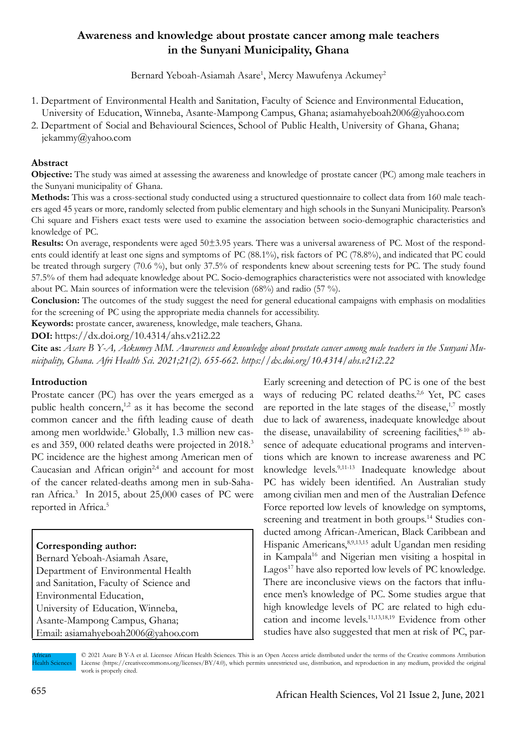# **Awareness and knowledge about prostate cancer among male teachers in the Sunyani Municipality, Ghana**

Bernard Yeboah-Asiamah Asare<sup>1</sup>, Mercy Mawufenya Ackumey<sup>2</sup>

- 1. Department of Environmental Health and Sanitation, Faculty of Science and Environmental Education, University of Education, Winneba, Asante-Mampong Campus, Ghana; asiamahyeboah2006@yahoo.com
- 2. Department of Social and Behavioural Sciences, School of Public Health, University of Ghana, Ghana; jekammy@yahoo.com

## **Abstract**

**Objective:** The study was aimed at assessing the awareness and knowledge of prostate cancer (PC) among male teachers in the Sunyani municipality of Ghana.

**Methods:** This was a cross-sectional study conducted using a structured questionnaire to collect data from 160 male teachers aged 45 years or more, randomly selected from public elementary and high schools in the Sunyani Municipality. Pearson's Chi square and Fishers exact tests were used to examine the association between socio-demographic characteristics and knowledge of PC.

**Results:** On average, respondents were aged 50±3.95 years. There was a universal awareness of PC. Most of the respondents could identify at least one signs and symptoms of PC (88.1%), risk factors of PC (78.8%), and indicated that PC could be treated through surgery (70.6 %), but only 37.5% of respondents knew about screening tests for PC. The study found 57.5% of them had adequate knowledge about PC. Socio-demographics characteristics were not associated with knowledge about PC. Main sources of information were the television (68%) and radio (57 %).

**Conclusion:** The outcomes of the study suggest the need for general educational campaigns with emphasis on modalities for the screening of PC using the appropriate media channels for accessibility.

**Keywords:** prostate cancer, awareness, knowledge, male teachers, Ghana.

**DOI:** https://dx.doi.org/10.4314/ahs.v21i2.22

**Cite as:** *Asare B Y-A, Ackumey MM. Awareness and knowledge about prostate cancer among male teachers in the Sunyani Municipality, Ghana. Afri Health Sci. 2021;21(2). 655-662. https://dx.doi.org/10.4314/ahs.v21i2.22*

## **Introduction**

Prostate cancer (PC) has over the years emerged as a public health concern,<sup>1,2</sup> as it has become the second common cancer and the fifth leading cause of death among men worldwide.<sup>3</sup> Globally, 1.3 million new cases and 359, 000 related deaths were projected in 2018.<sup>3</sup> PC incidence are the highest among American men of Caucasian and African origin<sup>2,4</sup> and account for most of the cancer related-deaths among men in sub-Saharan Africa.3 In 2015, about 25,000 cases of PC were reported in Africa.5

## **Corresponding author:**

Bernard Yeboah-Asiamah Asare, Department of Environmental Health and Sanitation, Faculty of Science and Environmental Education, University of Education, Winneba, Asante-Mampong Campus, Ghana; Email: asiamahyeboah2006@yahoo.com

Early screening and detection of PC is one of the best ways of reducing PC related deaths.<sup>2,6</sup> Yet, PC cases are reported in the late stages of the disease, $1,7$  mostly due to lack of awareness, inadequate knowledge about the disease, unavailability of screening facilities, $8-10$  absence of adequate educational programs and interventions which are known to increase awareness and PC knowledge levels.9,11-13 Inadequate knowledge about PC has widely been identified. An Australian study among civilian men and men of the Australian Defence Force reported low levels of knowledge on symptoms, screening and treatment in both groups.<sup>14</sup> Studies conducted among African-American, Black Caribbean and Hispanic Americans,<sup>8,9,13,15</sup> adult Ugandan men residing in Kampala16 and Nigerian men visiting a hospital in Lagos<sup>17</sup> have also reported low levels of PC knowledge. There are inconclusive views on the factors that influence men's knowledge of PC. Some studies argue that high knowledge levels of PC are related to high education and income levels.11,13,18,19 Evidence from other studies have also suggested that men at risk of PC, par-

African Health Sciences © 2021 Asare B Y-A et al. Licensee African Health Sciences. This is an Open Access article distributed under the terms of the Creative commons Attribution License (https://creativecommons.org/licenses/BY/4.0), which permits unrestricted use, distribution, and reproduction in any medium, provided the original work is properly cited.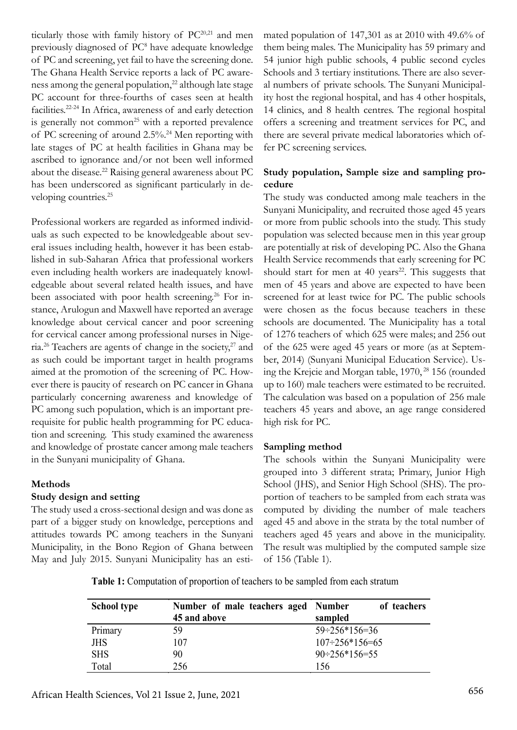ticularly those with family history of PC<sup>20,21</sup> and men previously diagnosed of PC8 have adequate knowledge of PC and screening, yet fail to have the screening done. The Ghana Health Service reports a lack of PC awareness among the general population, $^{22}$  although late stage PC account for three-fourths of cases seen at health facilities.22-24 In Africa, awareness of and early detection is generally not common<sup>25</sup> with a reported prevalence of PC screening of around 2.5%.24 Men reporting with late stages of PC at health facilities in Ghana may be ascribed to ignorance and/or not been well informed about the disease.22 Raising general awareness about PC has been underscored as significant particularly in developing countries.<sup>25</sup>

Professional workers are regarded as informed individuals as such expected to be knowledgeable about several issues including health, however it has been established in sub-Saharan Africa that professional workers even including health workers are inadequately knowledgeable about several related health issues, and have been associated with poor health screening.<sup>26</sup> For instance, Arulogun and Maxwell have reported an average knowledge about cervical cancer and poor screening for cervical cancer among professional nurses in Nigeria.26 Teachers are agents of change in the society,27 and as such could be important target in health programs aimed at the promotion of the screening of PC. However there is paucity of research on PC cancer in Ghana particularly concerning awareness and knowledge of PC among such population, which is an important prerequisite for public health programming for PC education and screening. This study examined the awareness and knowledge of prostate cancer among male teachers in the Sunyani municipality of Ghana.

## **Methods**

## **Study design and setting**

The study used a cross-sectional design and was done as part of a bigger study on knowledge, perceptions and attitudes towards PC among teachers in the Sunyani Municipality, in the Bono Region of Ghana between May and July 2015. Sunyani Municipality has an estimated population of 147,301 as at 2010 with 49.6% of them being males. The Municipality has 59 primary and 54 junior high public schools, 4 public second cycles Schools and 3 tertiary institutions. There are also several numbers of private schools. The Sunyani Municipality host the regional hospital, and has 4 other hospitals, 14 clinics, and 8 health centres. The regional hospital offers a screening and treatment services for PC, and there are several private medical laboratories which offer PC screening services.

## **Study population, Sample size and sampling procedure**

The study was conducted among male teachers in the Sunyani Municipality, and recruited those aged 45 years or more from public schools into the study. This study population was selected because men in this year group are potentially at risk of developing PC. Also the Ghana Health Service recommends that early screening for PC should start for men at 40 years<sup>22</sup>. This suggests that men of 45 years and above are expected to have been screened for at least twice for PC. The public schools were chosen as the focus because teachers in these schools are documented. The Municipality has a total of 1276 teachers of which 625 were males; and 256 out of the 625 were aged 45 years or more (as at September, 2014) (Sunyani Municipal Education Service). Using the Krejcie and Morgan table, 1970, 28 156 (rounded up to 160) male teachers were estimated to be recruited. The calculation was based on a population of 256 male teachers 45 years and above, an age range considered high risk for PC.

## **Sampling method**

The schools within the Sunyani Municipality were grouped into 3 different strata; Primary, Junior High School (JHS), and Senior High School (SHS). The proportion of teachers to be sampled from each strata was computed by dividing the number of male teachers aged 45 and above in the strata by the total number of teachers aged 45 years and above in the municipality. The result was multiplied by the computed sample size of 156 (Table 1).

**Table 1:** Computation of proportion of teachers to be sampled from each stratum

| <b>School type</b> | Number of male teachers aged Number<br>45 and above | of teachers<br>sampled         |  |
|--------------------|-----------------------------------------------------|--------------------------------|--|
| Primary            | 59                                                  | $59 \div 256 \times 156 = 36$  |  |
| <b>JHS</b>         | 107                                                 | $107 \div 256 \times 156 = 65$ |  |
| <b>SHS</b>         | 90                                                  | $90 \div 256 \times 156 = 55$  |  |
| Total              | 256                                                 | 156                            |  |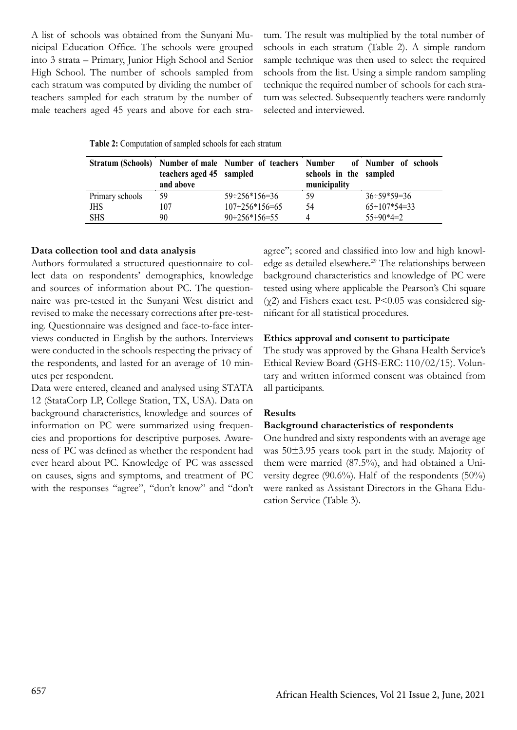A list of schools was obtained from the Sunyani Municipal Education Office. The schools were grouped into 3 strata – Primary, Junior High School and Senior High School. The number of schools sampled from each stratum was computed by dividing the number of teachers sampled for each stratum by the number of male teachers aged 45 years and above for each stratum. The result was multiplied by the total number of schools in each stratum (Table 2). A simple random sample technique was then used to select the required schools from the list. Using a simple random sampling technique the required number of schools for each stratum was selected. Subsequently teachers were randomly selected and interviewed.

|                 | teachers aged 45 sampled<br>and above | Stratum (Schools) Number of male Number of teachers Number | schools in the sampled<br>municipality | of Number of schools        |
|-----------------|---------------------------------------|------------------------------------------------------------|----------------------------------------|-----------------------------|
| Primary schools | 59                                    | $59 \div 256 \times 156 = 36$                              | 59                                     | $36 \div 59 \times 59 = 36$ |
| JHS             | 107                                   | $107 \div 256 \times 156 = 65$                             | 54                                     | $65 \div 107 * 54 = 33$     |
| <b>SHS</b>      | 90                                    | $90 \div 256 \times 156 = 55$                              | 4                                      | $55 \div 90 \times 4 = 2$   |

#### **Data collection tool and data analysis**

Authors formulated a structured questionnaire to collect data on respondents' demographics, knowledge and sources of information about PC. The questionnaire was pre-tested in the Sunyani West district and revised to make the necessary corrections after pre-testing. Questionnaire was designed and face-to-face interviews conducted in English by the authors. Interviews were conducted in the schools respecting the privacy of the respondents, and lasted for an average of 10 minutes per respondent.

Data were entered, cleaned and analysed using STATA 12 (StataCorp LP, College Station, TX, USA). Data on background characteristics, knowledge and sources of information on PC were summarized using frequencies and proportions for descriptive purposes. Awareness of PC was defined as whether the respondent had ever heard about PC. Knowledge of PC was assessed on causes, signs and symptoms, and treatment of PC with the responses "agree", "don't know" and "don't agree"; scored and classified into low and high knowledge as detailed elsewhere.<sup>29</sup> The relationships between background characteristics and knowledge of PC were tested using where applicable the Pearson's Chi square  $(\gamma 2)$  and Fishers exact test. P<0.05 was considered significant for all statistical procedures.

#### **Ethics approval and consent to participate**

The study was approved by the Ghana Health Service's Ethical Review Board (GHS-ERC: 110/02/15). Voluntary and written informed consent was obtained from all participants.

## **Results**

#### **Background characteristics of respondents**

One hundred and sixty respondents with an average age was 50±3.95 years took part in the study. Majority of them were married (87.5%), and had obtained a University degree  $(90.6\%)$ . Half of the respondents  $(50\%)$ were ranked as Assistant Directors in the Ghana Education Service (Table 3).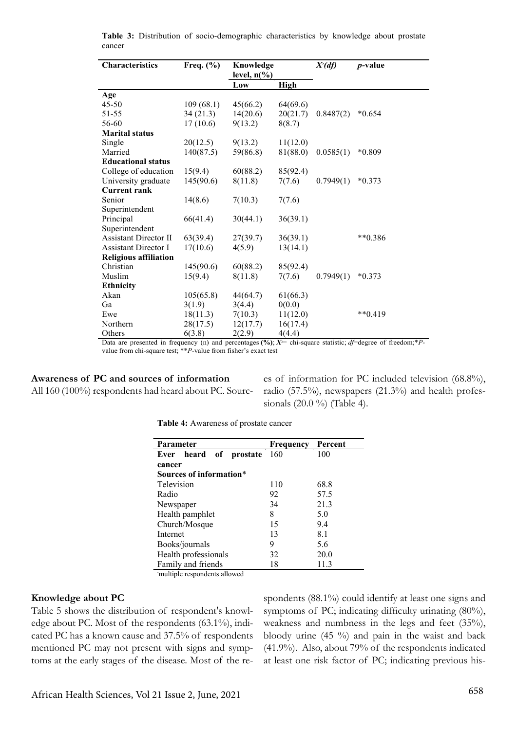| <b>Characteristics</b>       | Freq. $(\% )$ | Knowledge<br>level, $n\llap/$ <sub>0</sub> ) |             | $X^2(df)$ | <i>p</i> -value |
|------------------------------|---------------|----------------------------------------------|-------------|-----------|-----------------|
|                              |               | Low                                          | <b>High</b> |           |                 |
| Age                          |               |                                              |             |           |                 |
| $45 - 50$                    | 109(68.1)     | 45(66.2)                                     | 64(69.6)    |           |                 |
| 51-55                        | 34(21.3)      | 14(20.6)                                     | 20(21.7)    | 0.8487(2) | $*0.654$        |
| 56-60                        | 17(10.6)      | 9(13.2)                                      | 8(8.7)      |           |                 |
| <b>Marital status</b>        |               |                                              |             |           |                 |
| Single                       | 20(12.5)      | 9(13.2)                                      | 11(12.0)    |           |                 |
| Married                      | 140(87.5)     | 59(86.8)                                     | 81(88.0)    | 0.0585(1) | *0.809          |
| <b>Educational status</b>    |               |                                              |             |           |                 |
| College of education         | 15(9.4)       | 60(88.2)                                     | 85(92.4)    |           |                 |
| University graduate          | 145(90.6)     | 8(11.8)                                      | 7(7.6)      | 0.7949(1) | $*0.373$        |
| <b>Current rank</b>          |               |                                              |             |           |                 |
| Senior                       | 14(8.6)       | 7(10.3)                                      | 7(7.6)      |           |                 |
| Superintendent               |               |                                              |             |           |                 |
| Principal                    | 66(41.4)      | 30(44.1)                                     | 36(39.1)    |           |                 |
| Superintendent               |               |                                              |             |           |                 |
| <b>Assistant Director II</b> | 63(39.4)      | 27(39.7)                                     | 36(39.1)    |           | $**0.386$       |
| <b>Assistant Director I</b>  | 17(10.6)      | 4(5.9)                                       | 13(14.1)    |           |                 |
| <b>Religious affiliation</b> |               |                                              |             |           |                 |
| Christian                    | 145(90.6)     | 60(88.2)                                     | 85(92.4)    |           |                 |
| Muslim                       | 15(9.4)       | 8(11.8)                                      | 7(7.6)      | 0.7949(1) | $*0.373$        |
| <b>Ethnicity</b>             |               |                                              |             |           |                 |
| Akan                         | 105(65.8)     | 44(64.7)                                     | 61(66.3)    |           |                 |
| Ga                           | 3(1.9)        | 3(4.4)                                       | 0(0.0)      |           |                 |
| Ewe                          | 18(11.3)      | 7(10.3)                                      | 11(12.0)    |           | $**0.419$       |
| Northern                     | 28(17.5)      | 12(17.7)                                     | 16(17.4)    |           |                 |
| Others                       | 6(3.8)        | 2(2.9)                                       | 4(4.4)      |           |                 |

**Table 3:** Distribution of socio-demographic characteristics by knowledge about prostate cancer

Data are presented in frequency (n) and percentages  $(\%)$ ;  $X^=$  chi-square statistic; *df*=degree of freedom;\**P*value from chi-square test; \*\**P*-value from fisher's exact test

**Awareness of PC and sources of information** All 160 (100%) respondents had heard about PC. Sources of information for PC included television (68.8%), radio (57.5%), newspapers (21.3%) and health professionals (20.0 %) (Table 4).

**Table 4:** Awareness of prostate cancer

| Parameter                 | Frequency | Percent |  |  |
|---------------------------|-----------|---------|--|--|
| heard of prostate<br>Ever | 160       | 100     |  |  |
| cancer                    |           |         |  |  |
| Sources of information*   |           |         |  |  |
| Television                | 110       | 68.8    |  |  |
| Radio                     | 92        | 57.5    |  |  |
| Newspaper                 | 34        | 21.3    |  |  |
| Health pamphlet           | 8         | 5.0     |  |  |
| Church/Mosque             | 15        | 9.4     |  |  |
| Internet                  | 13        | 8.1     |  |  |
| Books/journals            | 9         | 5.6     |  |  |
| Health professionals      | 32        | 20.0    |  |  |
| Family and friends        | 18        | 11.3    |  |  |

**\*** multiple respondents allowed

## **Knowledge about PC**

Table 5 shows the distribution of respondent's knowledge about PC. Most of the respondents (63.1%), indicated PC has a known cause and 37.5% of respondents mentioned PC may not present with signs and symptoms at the early stages of the disease. Most of the respondents (88.1%) could identify at least one signs and symptoms of PC; indicating difficulty urinating (80%), weakness and numbness in the legs and feet (35%), bloody urine (45 %) and pain in the waist and back (41.9%). Also, about 79% of the respondents indicated at least one risk factor of PC; indicating previous his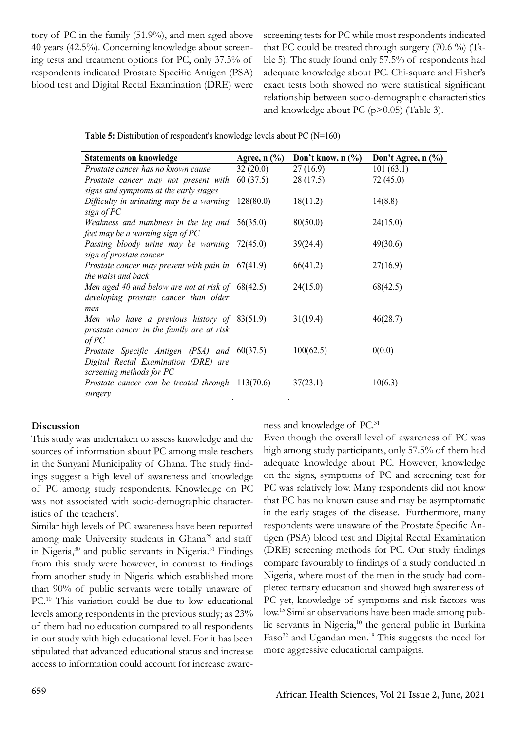tory of PC in the family (51.9%), and men aged above 40 years (42.5%). Concerning knowledge about screening tests and treatment options for PC, only 37.5% of respondents indicated Prostate Specific Antigen (PSA) blood test and Digital Rectal Examination (DRE) were screening tests for PC while most respondents indicated that PC could be treated through surgery (70.6 %) (Table 5). The study found only 57.5% of respondents had adequate knowledge about PC. Chi-square and Fisher's exact tests both showed no were statistical significant relationship between socio-demographic characteristics and knowledge about PC (p>0.05) (Table 3).

| <b>Statements on knowledge</b>                         | Agree, $n$ $(\%)$ | Don't know, $n$ $\left(\frac{0}{0}\right)$ | Don't Agree, $n$ $\left(\frac{9}{6}\right)$ |
|--------------------------------------------------------|-------------------|--------------------------------------------|---------------------------------------------|
| Prostate cancer has no known cause                     | 32(20.0)          | 27(16.9)                                   | 101(63.1)                                   |
| Prostate cancer may not present with                   | 60(37.5)          | 28(17.5)                                   | 72(45.0)                                    |
| signs and symptoms at the early stages                 |                   |                                            |                                             |
| Difficulty in urinating may be a warning               | 128(80.0)         | 18(11.2)                                   | 14(8.8)                                     |
| sign of PC                                             |                   |                                            |                                             |
| <i>Weakness and numbness in the leg and</i> $56(35.0)$ |                   | 80(50.0)                                   | 24(15.0)                                    |
| feet may be a warning sign of PC                       |                   |                                            |                                             |
| Passing bloody urine may be warning 72(45.0)           |                   | 39(24.4)                                   | 49(30.6)                                    |
| sign of prostate cancer                                |                   |                                            |                                             |
| Prostate cancer may present with pain in $67(41.9)$    |                   | 66(41.2)                                   | 27(16.9)                                    |
| the waist and back                                     |                   |                                            |                                             |
| Men aged 40 and below are not at risk of $68(42.5)$    |                   | 24(15.0)                                   | 68(42.5)                                    |
| developing prostate cancer than older                  |                   |                                            |                                             |
| men                                                    |                   |                                            |                                             |
| Men who have a previous history of 83(51.9)            |                   | 31(19.4)                                   | 46(28.7)                                    |
| prostate cancer in the family are at risk              |                   |                                            |                                             |
| of PC                                                  |                   |                                            |                                             |
| Prostate Specific Antigen (PSA) and 60(37.5)           |                   | 100(62.5)                                  | 0(0.0)                                      |
| Digital Rectal Examination (DRE) are                   |                   |                                            |                                             |
| screening methods for PC                               |                   |                                            |                                             |
| Prostate cancer can be treated through $113(70.6)$     |                   | 37(23.1)                                   | 10(6.3)                                     |
| surgery                                                |                   |                                            |                                             |

Table 5: Distribution of respondent's knowledge levels about PC (N=160)

#### **Discussion**

This study was undertaken to assess knowledge and the sources of information about PC among male teachers in the Sunyani Municipality of Ghana. The study findings suggest a high level of awareness and knowledge of PC among study respondents. Knowledge on PC was not associated with socio-demographic characteristics of the teachers'.

Similar high levels of PC awareness have been reported among male University students in Ghana<sup>29</sup> and staff in Nigeria,<sup>30</sup> and public servants in Nigeria.<sup>31</sup> Findings from this study were however, in contrast to findings from another study in Nigeria which established more than 90% of public servants were totally unaware of PC.<sup>10</sup> This variation could be due to low educational levels among respondents in the previous study; as 23% of them had no education compared to all respondents in our study with high educational level. For it has been stipulated that advanced educational status and increase access to information could account for increase awareness and knowledge of PC.31

Even though the overall level of awareness of PC was high among study participants, only 57.5% of them had adequate knowledge about PC. However, knowledge on the signs, symptoms of PC and screening test for PC was relatively low. Many respondents did not know that PC has no known cause and may be asymptomatic in the early stages of the disease. Furthermore, many respondents were unaware of the Prostate Specific Antigen (PSA) blood test and Digital Rectal Examination (DRE) screening methods for PC. Our study findings compare favourably to findings of a study conducted in Nigeria, where most of the men in the study had completed tertiary education and showed high awareness of PC yet, knowledge of symptoms and risk factors was low.15 Similar observations have been made among public servants in Nigeria,<sup>10</sup> the general public in Burkina Faso<sup>32</sup> and Ugandan men.<sup>18</sup> This suggests the need for more aggressive educational campaigns.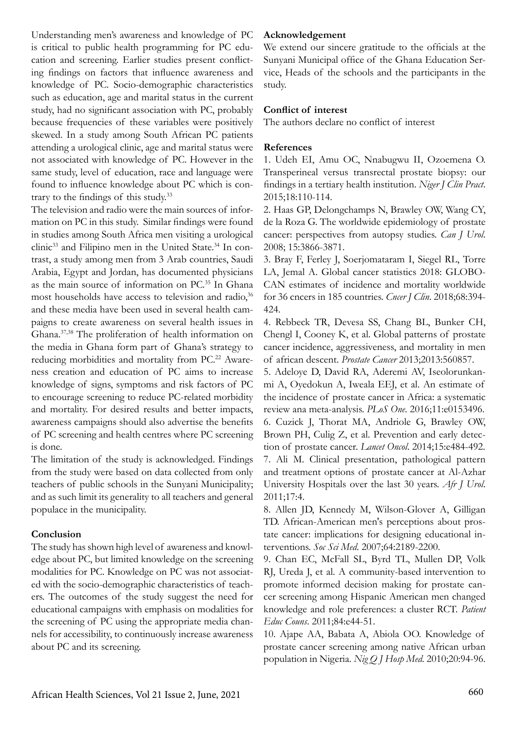Understanding men's awareness and knowledge of PC is critical to public health programming for PC education and screening. Earlier studies present conflicting findings on factors that influence awareness and knowledge of PC. Socio-demographic characteristics such as education, age and marital status in the current study, had no significant association with PC, probably because frequencies of these variables were positively skewed. In a study among South African PC patients attending a urological clinic, age and marital status were not associated with knowledge of PC. However in the same study, level of education, race and language were found to influence knowledge about PC which is contrary to the findings of this study.<sup>33</sup>

The television and radio were the main sources of information on PC in this study. Similar findings were found in studies among South Africa men visiting a urological clinic<sup>33</sup> and Filipino men in the United State.<sup>34</sup> In contrast, a study among men from 3 Arab countries, Saudi Arabia, Egypt and Jordan, has documented physicians as the main source of information on PC.35 In Ghana most households have access to television and radio,<sup>36</sup> and these media have been used in several health campaigns to create awareness on several health issues in Ghana.37,38 The proliferation of health information on the media in Ghana form part of Ghana's strategy to reducing morbidities and mortality from PC.<sup>22</sup> Awareness creation and education of PC aims to increase knowledge of signs, symptoms and risk factors of PC to encourage screening to reduce PC-related morbidity and mortality. For desired results and better impacts, awareness campaigns should also advertise the benefits of PC screening and health centres where PC screening is done.

The limitation of the study is acknowledged. Findings from the study were based on data collected from only teachers of public schools in the Sunyani Municipality; and as such limit its generality to all teachers and general populace in the municipality.

## **Conclusion**

The study has shown high level of awareness and knowledge about PC, but limited knowledge on the screening modalities for PC. Knowledge on PC was not associated with the socio-demographic characteristics of teachers. The outcomes of the study suggest the need for educational campaigns with emphasis on modalities for the screening of PC using the appropriate media channels for accessibility, to continuously increase awareness about PC and its screening.

## **Acknowledgement**

We extend our sincere gratitude to the officials at the Sunyani Municipal office of the Ghana Education Service, Heads of the schools and the participants in the study.

## **Conflict of interest**

The authors declare no conflict of interest

## **References**

1. Udeh EI, Amu OC, Nnabugwu II, Ozoemena O. Transperineal versus transrectal prostate biopsy: our findings in a tertiary health institution. *Niger J Clin Pract*. 2015;18:110-114.

2. Haas GP, Delongchamps N, Brawley OW, Wang CY, de la Roza G. The worldwide epidemiology of prostate cancer: perspectives from autopsy studies. *Can J Urol*. 2008; 15:3866-3871.

3. Bray F, Ferley J, Soerjomataram I, Siegel RL, Torre LA, Jemal A. Global cancer statistics 2018: GLOBO-CAN estimates of incidence and mortality worldwide for 36 cncers in 185 countries. *Cncer J Clin*. 2018;68:394- 424.

4. Rebbeck TR, Devesa SS, Chang BL, Bunker CH, Chengl I, Cooney K, et al. Global patterns of prostate cancer incidence, aggressiveness, and mortality in men of african descent. *Prostate Cancer* 2013;2013:560857.

5. Adeloye D, David RA, Aderemi AV, Iseolorunkanmi A, Oyedokun A, Iweala EEJ, et al. An estimate of the incidence of prostate cancer in Africa: a systematic review ana meta-analysis. *PLoS One*. 2016;11:e0153496. 6. Cuzick J, Thorat MA, Andriole G, Brawley OW, Brown PH, Culig Z, et al. Prevention and early detection of prostate cancer. *Lancet Oncol*. 2014;15:e484-492. 7. Ali M. Clinical presentation, pathological pattern and treatment options of prostate cancer at Al-Azhar University Hospitals over the last 30 years. *Afr J Urol*. 2011;17:4.

8. Allen JD, Kennedy M, Wilson-Glover A, Gilligan TD. African-American men's perceptions about prostate cancer: implications for designing educational interventions. *Soc Sci Med*. 2007;64:2189-2200.

9. Chan EC, McFall SL, Byrd TL, Mullen DP, Volk RJ, Ureda J, et al. A community-based intervention to promote informed decision making for prostate cancer screening among Hispanic American men changed knowledge and role preferences: a cluster RCT. *Patient Educ Couns*. 2011;84:e44-51.

10. Ajape AA, Babata A, Abiola OO. Knowledge of prostate cancer screening among native African urban population in Nigeria. *Nig Q J Hosp Med*. 2010;20:94-96.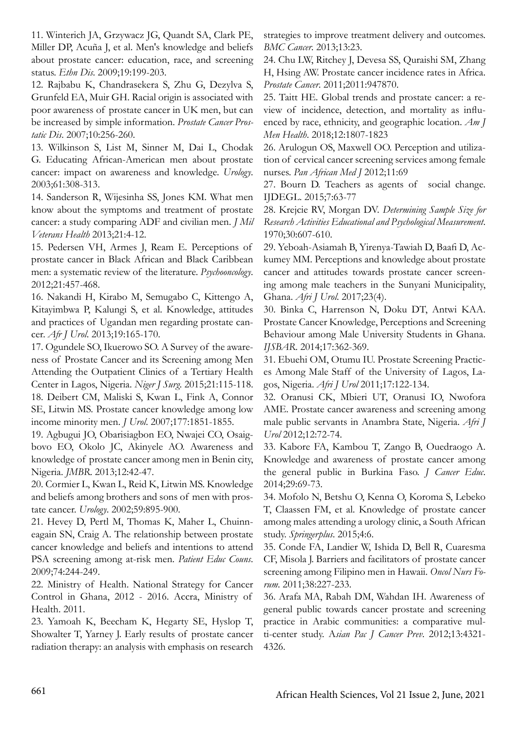11. Winterich JA, Grzywacz JG, Quandt SA, Clark PE, Miller DP, Acuña J, et al. Men's knowledge and beliefs about prostate cancer: education, race, and screening status. *Ethn Dis*. 2009;19:199-203.

12. Rajbabu K, Chandrasekera S, Zhu G, Dezylva S, Grunfeld EA, Muir GH. Racial origin is associated with poor awareness of prostate cancer in UK men, but can be increased by simple information. *Prostate Cancer Prostatic Dis*. 2007;10:256-260.

13. Wilkinson S, List M, Sinner M, Dai L, Chodak G. Educating African-American men about prostate cancer: impact on awareness and knowledge. *Urology*. 2003;61:308-313.

14. Sanderson R, Wijesinha SS, Jones KM. What men know about the symptoms and treatment of prostate cancer: a study comparing ADF and civilian men. *J Mil Veterans Health* 2013;21:4-12.

15. Pedersen VH, Armes J, Ream E. Perceptions of prostate cancer in Black African and Black Caribbean men: a systematic review of the literature. *Psychooncology*. 2012;21:457-468.

16. Nakandi H, Kirabo M, Semugabo C, Kittengo A, Kitayimbwa P, Kalungi S, et al. Knowledge, attitudes and practices of Ugandan men regarding prostate cancer. *Afr J Urol*. 2013;19:165-170.

17. Ogundele SO, Ikuerowo SO. A Survey of the awareness of Prostate Cancer and its Screening among Men Attending the Outpatient Clinics of a Tertiary Health Center in Lagos, Nigeria. *Niger J Surg*. 2015;21:115-118. 18. Deibert CM, Maliski S, Kwan L, Fink A, Connor SE, Litwin MS. Prostate cancer knowledge among low income minority men. *J Urol*. 2007;177:1851-1855.

19. Agbugui JO, Obarisiagbon EO, Nwajei CO, Osaigbovo EO, Okolo JC, Akinyele AO. Awareness and knowledge of prostate cancer among men in Benin city, Nigeria. *JMBR*. 2013;12:42-47.

20. Cormier L, Kwan L, Reid K, Litwin MS. Knowledge and beliefs among brothers and sons of men with prostate cancer. *Urology*. 2002;59:895-900.

21. Hevey D, Pertl M, Thomas K, Maher L, Chuinneagain SN, Craig A. The relationship between prostate cancer knowledge and beliefs and intentions to attend PSA screening among at-risk men. *Patient Educ Couns*. 2009;74:244-249.

22. Ministry of Health. National Strategy for Cancer Control in Ghana, 2012 - 2016. Accra, Ministry of Health. 2011.

23. Yamoah K, Beecham K, Hegarty SE, Hyslop T, Showalter T, Yarney J. Early results of prostate cancer radiation therapy: an analysis with emphasis on research strategies to improve treatment delivery and outcomes. *BMC Cancer*. 2013;13:23.

24. Chu LW, Ritchey J, Devesa SS, Quraishi SM, Zhang H, Hsing AW. Prostate cancer incidence rates in Africa. *Prostate Cancer*. 2011;2011:947870.

25. Taitt HE. Global trends and prostate cancer: a review of incidence, detection, and mortality as influenced by race, ethnicity, and geographic location. *Am J Men Health*. 2018;12:1807-1823

26. Arulogun OS, Maxwell OO. Perception and utilization of cervical cancer screening services among female nurses. *Pan African Med J* 2012;11:69

27. Bourn D. Teachers as agents of social change. IJDEGL. 2015;7:63-77

28. Krejcie RV, Morgan DV. *Determining Sample Size for Research Activities Educational and Psychological Measurement*. 1970;30:607-610.

29. Yeboah-Asiamah B, Yirenya-Tawiah D, Baafi D, Ackumey MM. Perceptions and knowledge about prostate cancer and attitudes towards prostate cancer screening among male teachers in the Sunyani Municipality, Ghana. *Afri J Urol*. 2017;23(4).

30. Binka C, Harrenson N, Doku DT, Antwi KAA. Prostate Cancer Knowledge, Perceptions and Screening Behaviour among Male University Students in Ghana. *IJSBAR*. 2014;17:362-369.

31. Ebuehi OM, Otumu IU. Prostate Screening Practices Among Male Staff of the University of Lagos, Lagos, Nigeria. *Afri J Urol* 2011;17:122-134.

32. Oranusi CK, Mbieri UT, Oranusi IO, Nwofora AME. Prostate cancer awareness and screening among male public servants in Anambra State, Nigeria. *Afri J Urol* 2012;12:72-74.

33. Kabore FA, Kambou T, Zango B, Ouedraogo A. Knowledge and awareness of prostate cancer among the general public in Burkina Faso. *J Cancer Educ*. 2014;29:69-73.

34. Mofolo N, Betshu O, Kenna O, Koroma S, Lebeko T, Claassen FM, et al. Knowledge of prostate cancer among males attending a urology clinic, a South African study. *Springerplus*. 2015;4:6.

35. Conde FA, Landier W, Ishida D, Bell R, Cuaresma CF, Misola J. Barriers and facilitators of prostate cancer screening among Filipino men in Hawaii. *Oncol Nurs Forum*. 2011;38:227-233.

36. Arafa MA, Rabah DM, Wahdan IH. Awareness of general public towards cancer prostate and screening practice in Arabic communities: a comparative multi-center study. A*sian Pac J Cancer Prev*. 2012;13:4321- 4326.